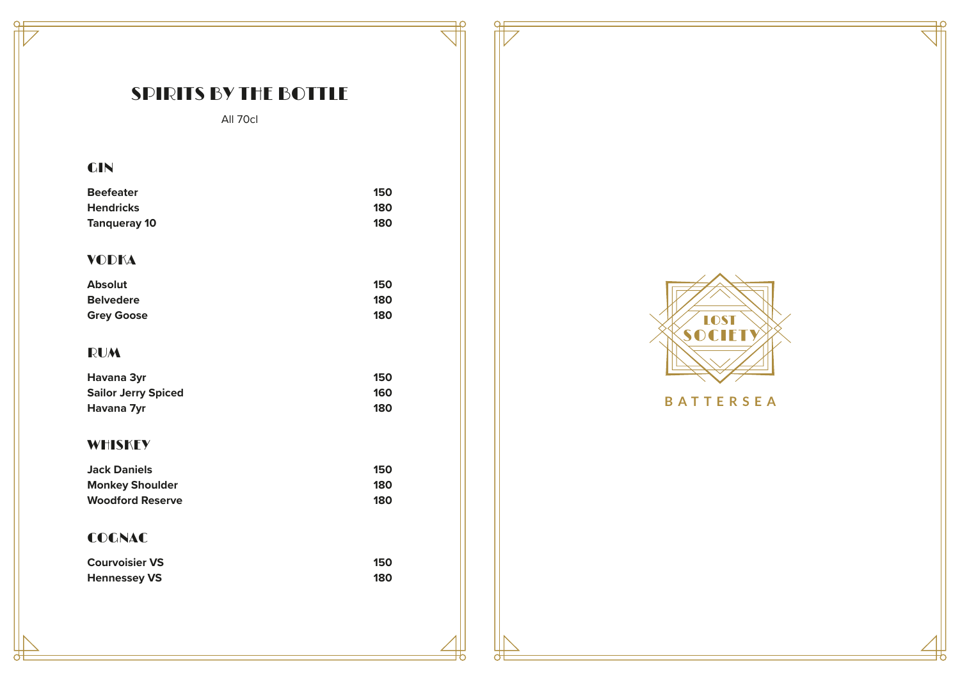## SPIRITS BY THE BOTTLE

 $\mathbf{P}$ 

 $\epsilon$ 

All 70cl

## GIN

| <b>Beefeater</b>    | 150 |
|---------------------|-----|
| <b>Hendricks</b>    | 180 |
| <b>Tangueray 10</b> | 180 |

## VODKA

| <b>Absolut</b>    | 150 |
|-------------------|-----|
| <b>Belvedere</b>  | 180 |
| <b>Grey Goose</b> | 180 |

## RUM

| Havana 3yr                 | 150 |
|----------------------------|-----|
| <b>Sailor Jerry Spiced</b> | 160 |
| Havana 7yr                 | 180 |

#### **WHISKEY**

| <b>Jack Daniels</b>     | 150 |
|-------------------------|-----|
| <b>Monkey Shoulder</b>  | 180 |
| <b>Woodford Reserve</b> | 180 |

## COGNAC

| <b>Courvoisier VS</b> | 150 |
|-----------------------|-----|
| <b>Hennessey VS</b>   | 180 |



## **B A TTERSEA**

ゎ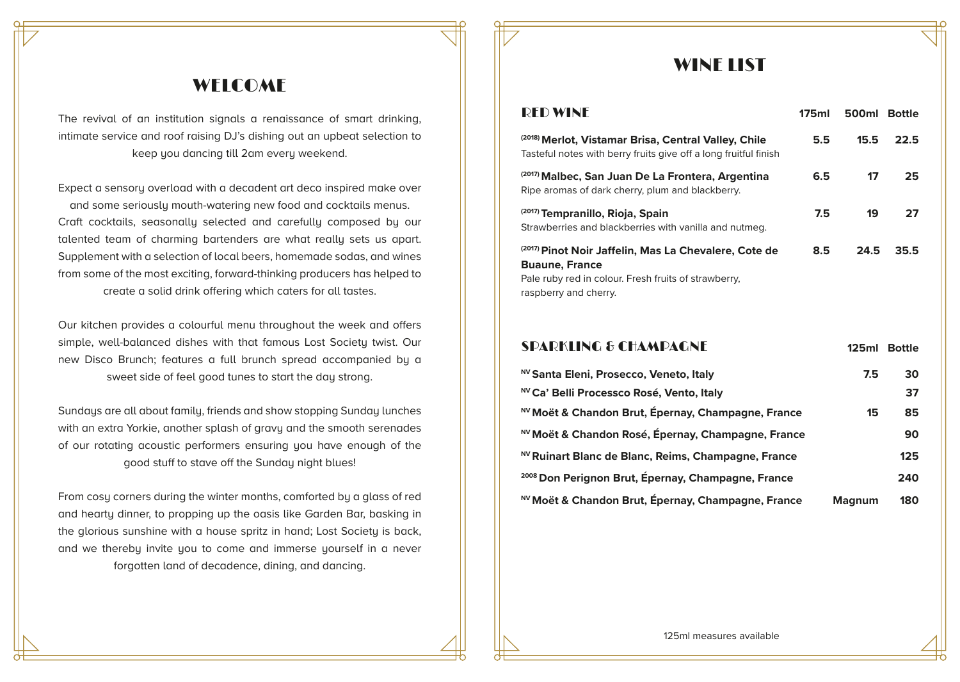## WELCOME

The revival of an institution signals a renaissance of smart drinking, intimate service and roof raising DJ's dishing out an upbeat selection to keep you dancing till 2am every weekend.

Expect a sensory overload with a decadent art deco inspired make over and some seriously mouth-watering new food and cocktails menus. Craft cocktails, seasonally selected and carefully composed by our talented team of charming bartenders are what really sets us apart. Supplement with a selection of local beers, homemade sodas, and wines from some of the most exciting, forward-thinking producers has helped to create a solid drink offering which caters for all tastes.

Our kitchen provides a colourful menu throughout the week and offers simple, well-balanced dishes with that famous Lost Societu twist. Our new Disco Brunch; features a full brunch spread accompanied by a sweet side of feel good tunes to start the day strong.

Sundays are all about family, friends and show stopping Sunday lunches with an extra Yorkie, another splash of gravy and the smooth serenades of our rotating acoustic performers ensuring you have enough of the good stuff to stave off the Sunday night blues!

From cosu corners during the winter months, comforted by a glass of red and hearty dinner, to propping up the oasis like Garden Bar, basking in the glorious sunshine with a house spritz in hand; Lost Societu is back, and we thereby invite you to come and immerse yourself in a never forgotten land of decadence, dining, and dancing.

## WINE LIST

| <b>RED WINE</b>                                                                                                                                                 | 175ml         | 500ml | <b>Bottle</b> |
|-----------------------------------------------------------------------------------------------------------------------------------------------------------------|---------------|-------|---------------|
| (2018) Merlot, Vistamar Brisa, Central Valley, Chile<br>Tasteful notes with berry fruits give off a long fruitful finish                                        | $5.5^{\circ}$ | 15.5  | 22.5          |
| (2017) Malbec, San Juan De La Frontera, Argentina<br>Ripe aromas of dark cherry, plum and blackberry.                                                           | 6.5           | 17    | 25            |
| <sup>(2017)</sup> Tempranillo, Rioja, Spain<br>Strawberries and blackberries with vanilla and nutmeg.                                                           | 7.5           | 19    | 27            |
| (2017) Pinot Noir Jaffelin, Mas La Chevalere, Cote de<br><b>Buaune, France</b><br>Pale ruby red in colour. Fresh fruits of strawberry,<br>raspberry and cherry. | 8.5           | 24.5  | 35.5          |

#### **125ml Bottle** SPARKLING & CHAMPAGNE

| NV Santa Eleni, Prosecco, Veneto, Italy                       | 7.5           | 30  |
|---------------------------------------------------------------|---------------|-----|
| <sup>NV</sup> Ca' Belli Processco Rosé, Vento, Italy          |               | 37  |
| NV Moët & Chandon Brut, Épernay, Champagne, France            | 15            | 85  |
| NV Moët & Chandon Rosé, Épernay, Champagne, France            |               | 90  |
| NV Ruinart Blanc de Blanc, Reims, Champagne, France           |               | 125 |
| <sup>2008</sup> Don Perignon Brut, Épernay, Champagne, France |               | 240 |
| <sup>NV</sup> Moët & Chandon Brut, Épernay, Champagne, France | <b>Magnum</b> | 180 |

125ml measures available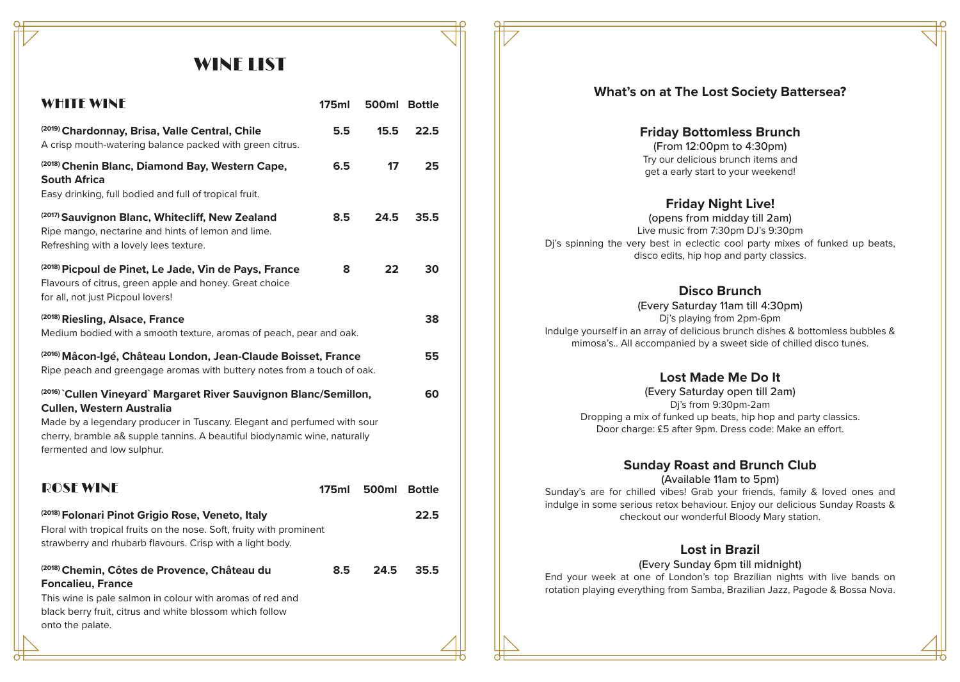## WINE LIST

| <b>WHITE WINE</b>                                                                                                                                                                                                                | 175ml | 500ml Bottle |               |
|----------------------------------------------------------------------------------------------------------------------------------------------------------------------------------------------------------------------------------|-------|--------------|---------------|
| <sup>(2019)</sup> Chardonnay, Brisa, Valle Central, Chile<br>A crisp mouth-watering balance packed with green citrus.                                                                                                            | 5.5   | 15.5         | 22.5          |
| <sup>(2018)</sup> Chenin Blanc, Diamond Bay, Western Cape,<br>South Africa                                                                                                                                                       | 6.5   | 17           | 25            |
| Easy drinking, full bodied and full of tropical fruit.                                                                                                                                                                           |       |              |               |
| <sup>(2017)</sup> Sauvignon Blanc, Whitecliff, New Zealand<br>Ripe mango, nectarine and hints of lemon and lime.<br>Refreshing with a lovely lees texture.                                                                       | 8.5   | 24.5         | 35.5          |
| <sup>(2018)</sup> Picpoul de Pinet, Le Jade, Vin de Pays, France<br>Flavours of citrus, green apple and honey. Great choice<br>for all, not just Picpoul lovers!                                                                 | 8     | 22           | 30            |
| <sup>(2018)</sup> Riesling, Alsace, France<br>Medium bodied with a smooth texture, aromas of peach, pear and oak.                                                                                                                |       |              | 38            |
| <sup>(2016)</sup> Mâcon-Igé, Château London, Jean-Claude Boisset, France<br>Ripe peach and greengage aromas with buttery notes from a touch of oak.                                                                              |       |              | 55            |
| <sup>(2016)</sup> Cullen Vineyard` Margaret River Sauvignon Blanc/Semillon,<br><b>Cullen, Western Australia</b>                                                                                                                  |       | 60           |               |
| Made by a legendary producer in Tuscany. Elegant and perfumed with sour<br>cherry, bramble a& supple tannins. A beautiful biodynamic wine, naturally<br>fermented and low sulphur.                                               |       |              |               |
| <b>ROSE WINE</b>                                                                                                                                                                                                                 | 175ml | 500ml        | <b>Bottle</b> |
| <sup>(2018)</sup> Folonari Pinot Grigio Rose, Veneto, Italy<br>Floral with tropical fruits on the nose. Soft, fruity with prominent<br>strawberry and rhubarb flavours. Crisp with a light body.                                 |       |              | 22.5          |
| <sup>(2018)</sup> Chemin, Côtes de Provence, Château du<br><b>Foncalieu, France</b><br>This wine is pale salmon in colour with aromas of red and<br>black berry fruit, citrus and white blossom which follow<br>onto the palate. | 8.5   | 24.5         | 35.5          |

#### **What's on at The Lost Society Battersea?**

**Friday Bottomless Brunch** (From 12:00pm to 4:30pm) Try our delicious brunch items and get a early start to your weekend!

#### **Friday Night Live!**

(opens from midday till 2am) Live music from 7:30pm DJ's 9:30pm Dj's spinning the very best in eclectic cool party mixes of funked up beats, disco edits, hip hop and party classics.

#### **Disco Brunch**

(Every Saturday 11am till 4:30pm) Dj's playing from 2pm-6pm Indulge yourself in an array of delicious brunch dishes & bottomless bubbles & mimosa's.. All accompanied by a sweet side of chilled disco tunes.

#### **Lost Made Me Do It**

(Every Saturday open till 2am) Dj's from 9:30pm-2am Dropping a mix of funked up beats, hip hop and party classics. Door charge: £5 after 9pm. Dress code: Make an effort.

#### **Sunday Roast and Brunch Club**

(Available 11am to 5pm)

Sunday's are for chilled vibes! Grab your friends, family & loved ones and indulge in some serious retox behaviour. Enjoy our delicious Sunday Roasts & checkout our wonderful Bloody Mary station.

#### **Lost in Brazil**

(Every Sunday 6pm till midnight)

End your week at one of London's top Brazilian nights with live bands on rotation playing everything from Samba, Brazilian Jazz, Pagode & Bossa Nova.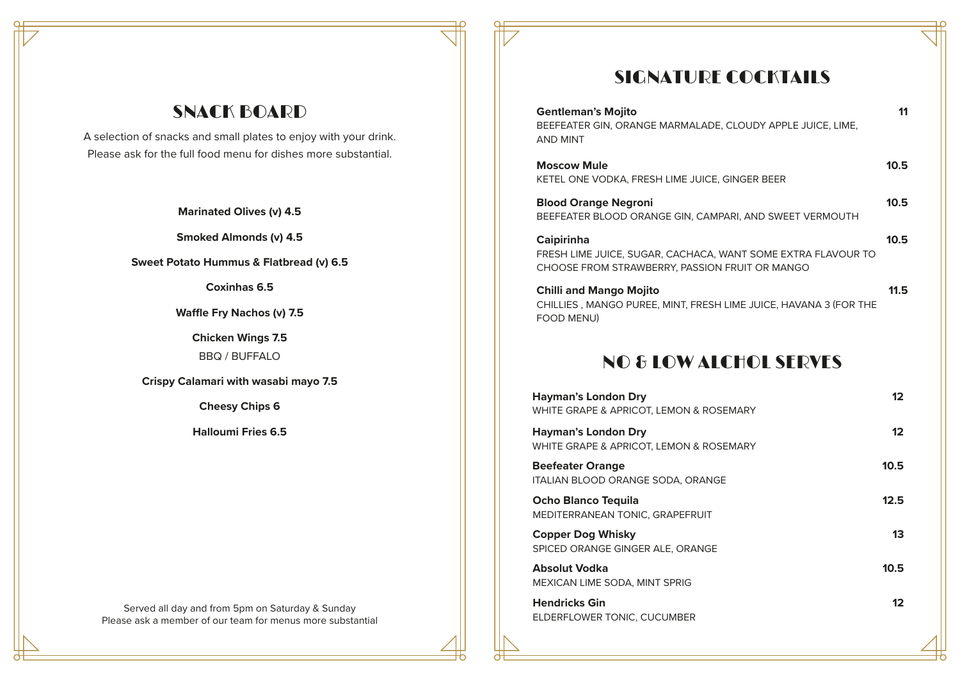## SNACK BOARD

A selection of snacks and small plates to enjoy with your drink. Please ask for the full food menu for dishes more substantial.

**Marinated Olives (v) 4.5**

**Smoked Almonds (v) 4.5**

**Sweet Potato Hummus & Flatbread (v) 6.5**

**Coxinhas 6.5**

**Waffle Fry Nachos (v) 7.5**

**Chicken Wings 7.5** BBQ / BUFFALO

**Crispy Calamari with wasabi mayo 7.5**

**Cheesy Chips 6**

**Halloumi Fries 6.5**

Served all day and from 5pm on Saturday & Sunday Please ask a member of our team for menus more substantial

## SIGNATURE COCKTAILS

| <b>Gentleman's Mojito</b><br>BEEFEATER GIN, ORANGE MARMALADE, CLOUDY APPLE JUICE, LIME,<br><b>AND MINT</b>                          |      |
|-------------------------------------------------------------------------------------------------------------------------------------|------|
| <b>Moscow Mule</b><br>KETEL ONE VODKA, FRESH LIME JUICE, GINGER BEER                                                                | 10.5 |
| <b>Blood Orange Negroni</b><br>BEEFEATER BLOOD ORANGE GIN, CAMPARI, AND SWEET VERMOUTH                                              | 10.5 |
| <b>Caipirinha</b><br>FRESH LIME JUICE, SUGAR, CACHACA, WANT SOME EXTRA FLAVOUR TO<br>CHOOSE FROM STRAWBERRY, PASSION FRUIT OR MANGO | 10.5 |
| <b>Chilli and Mango Mojito</b><br>CHILLIES, MANGO PUREE, MINT, FRESH LIME JUICE, HAVANA 3 (FOR THE<br>FOOD MENU)                    | 11.5 |

## NO & LOW ALCHOL SERVES

| <b>Hayman's London Dry</b><br>WHITE GRAPE & APRICOT, LEMON & ROSEMARY | $12 \ \mathsf{ }$ |
|-----------------------------------------------------------------------|-------------------|
| <b>Hayman's London Dry</b><br>WHITE GRAPE & APRICOT, LEMON & ROSEMARY | 12                |
| <b>Beefeater Orange</b><br>ITALIAN BLOOD ORANGE SODA, ORANGE          | 10.5              |
| <b>Ocho Blanco Tequila</b><br>MEDITERRANEAN TONIC, GRAPEFRUIT         | 12.5              |
| <b>Copper Dog Whisky</b><br>SPICED ORANGE GINGER ALE, ORANGE          | 13                |
| <b>Absolut Vodka</b><br>MEXICAN LIME SODA, MINT SPRIG                 | 10.5              |
| <b>Hendricks Gin</b><br>ELDERFLOWER TONIC, CUCUMBER                   | 12                |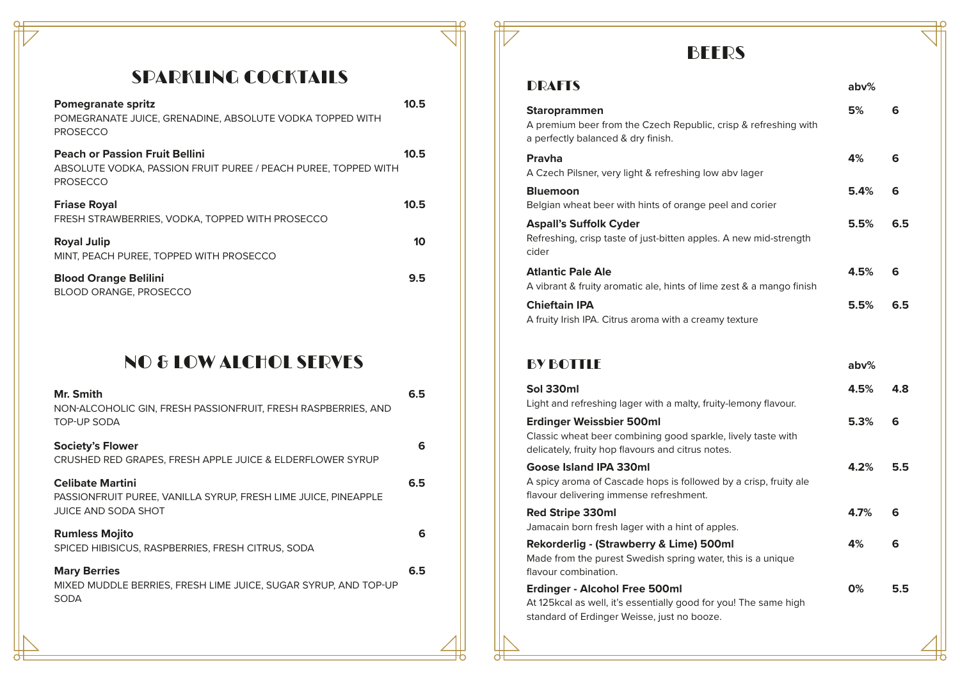## SPARKLING COCKTAILS

| <b>Pomegranate spritz</b><br>POMEGRANATE JUICE, GRENADINE, ABSOLUTE VODKA TOPPED WITH<br><b>PROSECCO</b>                   | 10.5 |
|----------------------------------------------------------------------------------------------------------------------------|------|
| <b>Peach or Passion Fruit Bellini</b><br>ABSOLUTE VODKA, PASSION FRUIT PUREE / PEACH PUREE, TOPPED WITH<br><b>PROSECCO</b> | 10.5 |
| <b>Friase Royal</b><br>FRESH STRAWBERRIES, VODKA, TOPPED WITH PROSECCO                                                     | 10.5 |
| <b>Royal Julip</b><br>MINT. PEACH PUREE. TOPPED WITH PROSECCO                                                              | 10   |
| <b>Blood Orange Belilini</b><br><b>BLOOD ORANGE, PROSECCO</b>                                                              | 9.5  |

## NO & LOW ALCHOL SERVES **BY BULLET BY BOTTLE**

| Mr. Smith<br>NON-ALCOHOLIC GIN, FRESH PASSIONFRUIT, FRESH RASPBERRIES, AND<br><b>TOP-UP SODA</b>                        | 6.5 |
|-------------------------------------------------------------------------------------------------------------------------|-----|
| <b>Society's Flower</b><br>CRUSHED RED GRAPES, FRESH APPLE JUICE & ELDERFLOWER SYRUP                                    | 6   |
| <b>Celibate Martini</b><br>PASSIONFRUIT PUREE, VANILLA SYRUP, FRESH LIME JUICE, PINEAPPLE<br><b>JUICE AND SODA SHOT</b> | 6.5 |
| <b>Rumless Mojito</b><br>SPICED HIBISICUS, RASPBERRIES, FRESH CITRUS, SODA                                              | 6   |
| <b>Mary Berries</b><br>MIXED MUDDLE BERRIES, FRESH LIME JUICE, SUGAR SYRUP, AND TOP-UP<br><b>SODA</b>                   | 6.5 |
|                                                                                                                         |     |

## **BEERS**

| <b>DRAFTS</b>                                                                                                                | abv% |     |
|------------------------------------------------------------------------------------------------------------------------------|------|-----|
| <b>Staroprammen</b><br>A premium beer from the Czech Republic, crisp & refreshing with<br>a perfectly balanced & dry finish. | 5%   | 6   |
| Pravha<br>A Czech Pilsner, very light & refreshing low aby lager                                                             | 4%   | 6   |
| <b>Bluemoon</b><br>Belgian wheat beer with hints of orange peel and corier                                                   | 5.4% | 6   |
| <b>Aspall's Suffolk Cyder</b><br>Refreshing, crisp taste of just-bitten apples. A new mid-strength<br>cider                  | 5.5% | 6.5 |
| <b>Atlantic Pale Ale</b><br>A vibrant & fruity aromatic ale, hints of lime zest & a mango finish                             | 4.5% | 6   |
| <b>Chieftain IPA</b><br>A fruity Irish IPA. Citrus aroma with a creamy texture                                               | 5.5% | 6.5 |

#### **Sol 330ml** Light and refreshing lager with a malty, fruity-lemony flavour. **Red Stripe 330ml** Jamacain born fresh lager with a hint of apples. **Rekorderlig - (Strawberry & Lime) 500ml** Made from the purest Swedish spring water, this is a unique flavour combination. **Erdinger - Alcohol Free 500ml** At 125kcal as well, it's essentially good for you! The same high standard of Erdinger Weisse, just no booze. **Erdinger Weissbier 500ml** Classic wheat beer combining good sparkle, lively taste with delicately, fruity hop flavours and citrus notes. **Goose Island IPA 330ml** A spicy aroma of Cascade hops is followed by a crisp, fruity ale flavour delivering immense refreshment. **4.8 6 6 5.5 6 5.5 4.5% 4.7% 4% 0% 5.3% 4.2% abv%**